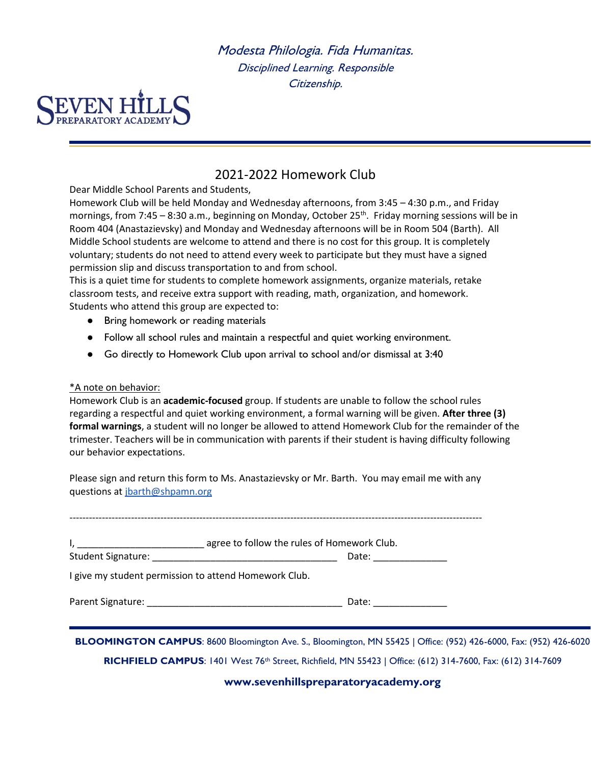Modesta Philologia. Fida Humanitas. Disciplined Learning. Responsible Citizenship.



## 2021-2022 Homework Club

Dear Middle School Parents and Students,

Homework Club will be held Monday and Wednesday afternoons, from 3:45 – 4:30 p.m., and Friday mornings, from 7:45 – 8:30 a.m., beginning on Monday, October 25<sup>th</sup>. Friday morning sessions will be in Room 404 (Anastazievsky) and Monday and Wednesday afternoons will be in Room 504 (Barth). All Middle School students are welcome to attend and there is no cost for this group. It is completely voluntary; students do not need to attend every week to participate but they must have a signed permission slip and discuss transportation to and from school.

This is a quiet time for students to complete homework assignments, organize materials, retake classroom tests, and receive extra support with reading, math, organization, and homework. Students who attend this group are expected to:

- Bring homework or reading materials
- Follow all school rules and maintain a respectful and quiet working environment.
- Go directly to Homework Club upon arrival to school and/or dismissal at 3:40

## \*A note on behavior:

Homework Club is an **academic-focused** group. If students are unable to follow the school rules regarding a respectful and quiet working environment, a formal warning will be given. **After three (3) formal warnings**, a student will no longer be allowed to attend Homework Club for the remainder of the trimester. Teachers will be in communication with parents if their student is having difficulty following our behavior expectations.

Please sign and return this form to Ms. Anastazievsky or Mr. Barth. You may email me with any questions at [jbarth@shpamn.org](mailto:jbarth@shpamn.org)

| I, _________________________________ agree to follow the rules of Homework Club. |                            |  |
|----------------------------------------------------------------------------------|----------------------------|--|
|                                                                                  | Date: ______________       |  |
| I give my student permission to attend Homework Club.                            |                            |  |
|                                                                                  | Date: <u>_____________</u> |  |
|                                                                                  |                            |  |

**RICHFIELD CAMPUS**: 1401 West 76th Street, Richfield, MN 55423 | Office: (612) 314-7600, Fax: (612) 314-7609

**(952) 426-6020** 

**www.sevenhillspreparatoryacademy.org**